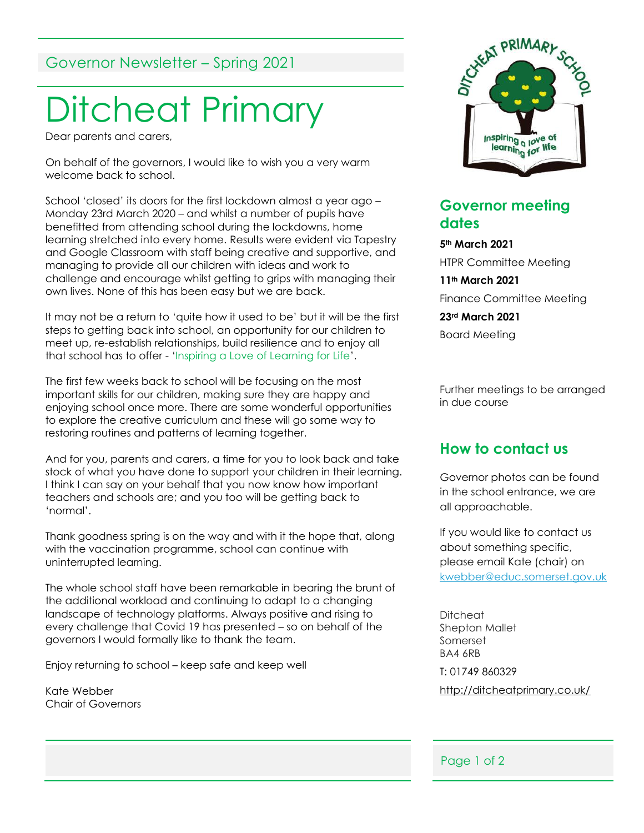# Governor Newsletter – Spring 2021

# Ditcheat Primary

Dear parents and carers,

On behalf of the governors, I would like to wish you a very warm welcome back to school.

School 'closed' its doors for the first lockdown almost a year ago – Monday 23rd March 2020 – and whilst a number of pupils have benefitted from attending school during the lockdowns, home learning stretched into every home. Results were evident via Tapestry and Google Classroom with staff being creative and supportive, and managing to provide all our children with ideas and work to challenge and encourage whilst getting to grips with managing their own lives. None of this has been easy but we are back.

It may not be a return to 'quite how it used to be' but it will be the first steps to getting back into school, an opportunity for our children to meet up, re-establish relationships, build resilience and to enjoy all that school has to offer - 'Inspiring a Love of Learning for Life'.

The first few weeks back to school will be focusing on the most important skills for our children, making sure they are happy and enjoying school once more. There are some wonderful opportunities to explore the creative curriculum and these will go some way to restoring routines and patterns of learning together.

And for you, parents and carers, a time for you to look back and take stock of what you have done to support your children in their learning. I think I can say on your behalf that you now know how important teachers and schools are; and you too will be getting back to 'normal'.

Thank goodness spring is on the way and with it the hope that, along with the vaccination programme, school can continue with uninterrupted learning.

The whole school staff have been remarkable in bearing the brunt of the additional workload and continuing to adapt to a changing landscape of technology platforms. Always positive and rising to every challenge that Covid 19 has presented – so on behalf of the governors I would formally like to thank the team.

Enjoy returning to school – keep safe and keep well

Kate Webber Chair of Governors



#### **Governor meeting dates**

**5th March 2021** HTPR Committee Meeting **11th March 2021** Finance Committee Meeting **23rd March 2021** Board Meeting

Further meetings to be arranged in due course

#### **How to contact us**

Governor photos can be found in the school entrance, we are all approachable.

If you would like to contact us about something specific, please email Kate (chair) on [kwebber@educ.somerset.gov.uk](mailto:kwebber@educ.somerset.gov.uk)

Ditcheat Shepton Mallet Somerset BA4 6RB T: 01749 860329 <http://ditcheatprimary.co.uk/>

#### Page 1 of 2